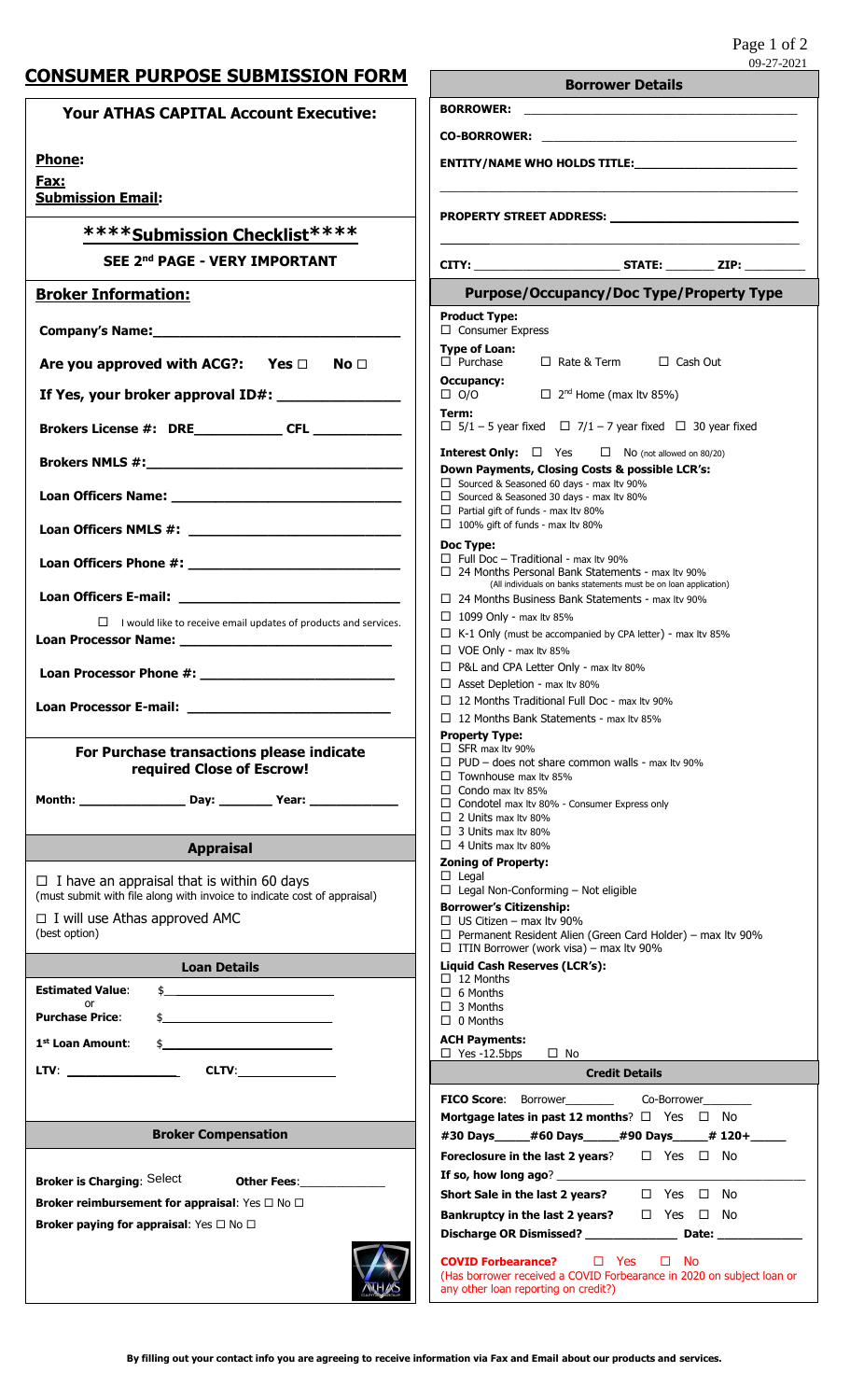# **CONSUMER PURPOSE SUBMISSION FORM**

| <b>CONSUMER PURPOSE SUBMISSION FORM</b>                                                                                                                                                 | 09-27-2021<br><b>Borrower Details</b>                                                                                                                            |
|-----------------------------------------------------------------------------------------------------------------------------------------------------------------------------------------|------------------------------------------------------------------------------------------------------------------------------------------------------------------|
| <b>Your ATHAS CAPITAL Account Executive:</b>                                                                                                                                            |                                                                                                                                                                  |
|                                                                                                                                                                                         |                                                                                                                                                                  |
| Phone:                                                                                                                                                                                  |                                                                                                                                                                  |
| Fax:<br><b>Submission Email:</b>                                                                                                                                                        |                                                                                                                                                                  |
|                                                                                                                                                                                         | PROPERTY STREET ADDRESS: ________________________________                                                                                                        |
| *****Submission Checklist****                                                                                                                                                           |                                                                                                                                                                  |
| SEE 2nd PAGE - VERY IMPORTANT                                                                                                                                                           |                                                                                                                                                                  |
| <b>Broker Information:</b>                                                                                                                                                              | <b>Purpose/Occupancy/Doc Type/Property Type</b><br><b>Product Type:</b>                                                                                          |
| Company's Name: Manual Manual Manual Manual Manual Manual Manual Manual Manual Manual Manual Manual Manual Manual Ma                                                                    | $\Box$ Consumer Express                                                                                                                                          |
| Are you approved with ACG?: Yes $\Box$<br>No <sub>1</sub>                                                                                                                               | <b>Type of Loan:</b><br>$\Box$ Purchase<br>□ Rate & Term □ Cash Out<br><b>Occupancy:</b>                                                                         |
| If Yes, your broker approval ID#:                                                                                                                                                       | $\Box$ O/O $\Box$ 2 <sup>nd</sup> Home (max ltv 85%)                                                                                                             |
| <b>Brokers License #: DRE CFL CFL</b>                                                                                                                                                   | Term:<br>$\Box$ 5/1 – 5 year fixed $\Box$ 7/1 – 7 year fixed $\Box$ 30 year fixed                                                                                |
|                                                                                                                                                                                         | <b>Interest Only:</b> $\Box$ Yes $\Box$ No (not allowed on 80/20)<br>Down Payments, Closing Costs & possible LCR's:                                              |
|                                                                                                                                                                                         | $\Box$ Sourced & Seasoned 60 days - max ltv 90%<br>$\Box$ Sourced & Seasoned 30 days - max ltv 80%                                                               |
|                                                                                                                                                                                         | $\Box$ Partial gift of funds - max ltv 80%<br>$\Box$ 100% gift of funds - max ltv 80%                                                                            |
|                                                                                                                                                                                         | Doc Type:<br>$\Box$ Full Doc - Traditional - max Ity 90%<br>□ 24 Months Personal Bank Statements - max Itv 90%                                                   |
| Loan Officers E-mail: <u>__________________________________</u>                                                                                                                         | (All individuals on banks statements must be on loan application)<br>□ 24 Months Business Bank Statements - max Itv 90%                                          |
| $\Box$ I would like to receive email updates of products and services.                                                                                                                  | $\Box$ 1099 Only - max ltv 85%<br>$\Box$ K-1 Only (must be accompanied by CPA letter) - max ltv 85%                                                              |
|                                                                                                                                                                                         | $\Box$ VOE Only - max ltv 85%                                                                                                                                    |
|                                                                                                                                                                                         | □ P&L and CPA Letter Only - max Itv 80%<br>□ Asset Depletion - max ltv 80%                                                                                       |
|                                                                                                                                                                                         | $\Box$ 12 Months Traditional Full Doc - max Ity 90%<br>$\Box$ 12 Months Bank Statements - max Ity 85%                                                            |
|                                                                                                                                                                                         | <b>Property Type:</b>                                                                                                                                            |
| For Purchase transactions please indicate<br>required Close of Escrow!                                                                                                                  | $\Box$ SFR max ltv 90%<br>$\Box$ PUD - does not share common walls - max Itv 90%                                                                                 |
|                                                                                                                                                                                         | $\Box$ Townhouse max Ity 85%<br>$\Box$ Condo max ltv 85%                                                                                                         |
|                                                                                                                                                                                         | $\Box$ Condotel max Itv 80% - Consumer Express only<br>$\Box$ 2 Units max Itv 80%                                                                                |
| <b>Appraisal</b>                                                                                                                                                                        | $\Box$ 3 Units max Ity 80%<br>$\Box$ 4 Units max Ity 80%                                                                                                         |
|                                                                                                                                                                                         | <b>Zoning of Property:</b><br>$\Box$ Legal                                                                                                                       |
| $\Box$ I have an appraisal that is within 60 days<br>(must submit with file along with invoice to indicate cost of appraisal)                                                           | $\Box$ Legal Non-Conforming – Not eligible<br><b>Borrower's Citizenship:</b>                                                                                     |
| $\Box$ I will use Athas approved AMC<br>(best option)                                                                                                                                   | $\Box$ US Citizen – max ltv 90%<br>$\Box$ Permanent Resident Alien (Green Card Holder) – max ltv 90%                                                             |
| <b>Loan Details</b>                                                                                                                                                                     | $\Box$ ITIN Borrower (work visa) – max ltv 90%<br>Liquid Cash Reserves (LCR's):                                                                                  |
| <b>Estimated Value:</b><br>$\frac{1}{2}$                                                                                                                                                | $\Box$ 12 Months<br>$\Box$ 6 Months                                                                                                                              |
| or<br>$\frac{1}{2}$<br>Purchase Price:                                                                                                                                                  | $\Box$ 3 Months<br>$\Box$ 0 Months                                                                                                                               |
| 1 <sup>st</sup> Loan Amount:<br>$\frac{1}{2}$                                                                                                                                           | <b>ACH Payments:</b>                                                                                                                                             |
|                                                                                                                                                                                         | $\Box$ Yes -12.5bps $\Box$ No<br><b>Credit Details</b>                                                                                                           |
|                                                                                                                                                                                         |                                                                                                                                                                  |
|                                                                                                                                                                                         | Mortgage lates in past 12 months? $\Box$ Yes $\Box$ No                                                                                                           |
| <b>Broker Compensation</b>                                                                                                                                                              | #30 Days_____#60 Days_____#90 Days_____# 120+_____                                                                                                               |
|                                                                                                                                                                                         | <b>Foreclosure in the last 2 years?</b> $\Box$ Yes $\Box$ No                                                                                                     |
| <b>Broker is Charging: Select Charge Community Control Charging Community Community Community Community Community</b><br>Broker reimbursement for appraisal: Yes $\square$ No $\square$ | Short Sale in the last 2 years? $\square$ Yes $\square$ No                                                                                                       |
| <b>Broker paying for appraisal:</b> Yes $\Box$ No $\Box$                                                                                                                                | Bankruptcy in the last 2 years?<br>$\Box$ Yes $\Box$ No                                                                                                          |
|                                                                                                                                                                                         | Discharge OR Dismissed? ____________________ Date: _____________________________                                                                                 |
|                                                                                                                                                                                         | <b>COVID Forbearance?</b> □ Yes<br>$\square$ No<br>(Has borrower received a COVID Forbearance in 2020 on subject loan or<br>any other loan reporting on credit?) |